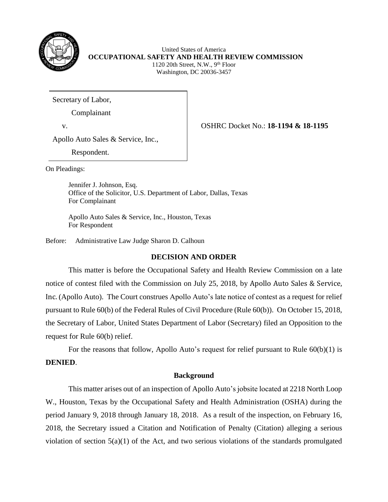

United States of America **OCCUPATIONAL SAFETY AND HEALTH REVIEW COMMISSION** 1120 20th Street, N.W., 9<sup>th</sup> Floor Washington, DC 20036-3457

Secretary of Labor,

Complainant

v. OSHRC Docket No.: **18-1194 & 18-1195**

Apollo Auto Sales & Service, Inc.,

Respondent.

On Pleadings:

Jennifer J. Johnson, Esq. Office of the Solicitor, U.S. Department of Labor, Dallas, Texas For Complainant

Apollo Auto Sales & Service, Inc., Houston, Texas For Respondent

Before: Administrative Law Judge Sharon D. Calhoun

# **DECISION AND ORDER**

This matter is before the Occupational Safety and Health Review Commission on a late notice of contest filed with the Commission on July 25, 2018, by Apollo Auto Sales & Service, Inc. (Apollo Auto). The Court construes Apollo Auto's late notice of contest as a request for relief pursuant to Rule 60(b) of the Federal Rules of Civil Procedure (Rule 60(b)). On October 15, 2018, the Secretary of Labor, United States Department of Labor (Secretary) filed an Opposition to the request for Rule 60(b) relief.

For the reasons that follow, Apollo Auto's request for relief pursuant to Rule  $60(b)(1)$  is **DENIED**.

# **Background**

This matter arises out of an inspection of Apollo Auto's jobsite located at 2218 North Loop W., Houston, Texas by the Occupational Safety and Health Administration (OSHA) during the period January 9, 2018 through January 18, 2018. As a result of the inspection, on February 16, 2018, the Secretary issued a Citation and Notification of Penalty (Citation) alleging a serious violation of section 5(a)(1) of the Act, and two serious violations of the standards promulgated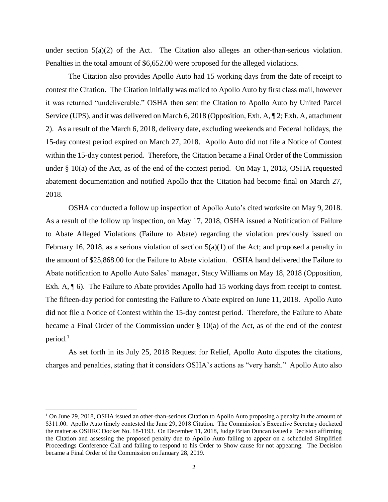under section 5(a)(2) of the Act. The Citation also alleges an other-than-serious violation. Penalties in the total amount of \$6,652.00 were proposed for the alleged violations.

The Citation also provides Apollo Auto had 15 working days from the date of receipt to contest the Citation. The Citation initially was mailed to Apollo Auto by first class mail, however it was returned "undeliverable." OSHA then sent the Citation to Apollo Auto by United Parcel Service (UPS), and it was delivered on March 6, 2018 (Opposition, Exh. A, ¶ 2; Exh. A, attachment 2). As a result of the March 6, 2018, delivery date, excluding weekends and Federal holidays, the 15-day contest period expired on March 27, 2018. Apollo Auto did not file a Notice of Contest within the 15-day contest period. Therefore, the Citation became a Final Order of the Commission under § 10(a) of the Act, as of the end of the contest period. On May 1, 2018, OSHA requested abatement documentation and notified Apollo that the Citation had become final on March 27, 2018.

OSHA conducted a follow up inspection of Apollo Auto's cited worksite on May 9, 2018. As a result of the follow up inspection, on May 17, 2018, OSHA issued a Notification of Failure to Abate Alleged Violations (Failure to Abate) regarding the violation previously issued on February 16, 2018, as a serious violation of section  $5(a)(1)$  of the Act; and proposed a penalty in the amount of \$25,868.00 for the Failure to Abate violation. OSHA hand delivered the Failure to Abate notification to Apollo Auto Sales' manager, Stacy Williams on May 18, 2018 (Opposition, Exh. A,  $\parallel$  6). The Failure to Abate provides Apollo had 15 working days from receipt to contest. The fifteen-day period for contesting the Failure to Abate expired on June 11, 2018. Apollo Auto did not file a Notice of Contest within the 15-day contest period. Therefore, the Failure to Abate became a Final Order of the Commission under § 10(a) of the Act, as of the end of the contest period.<sup>1</sup>

As set forth in its July 25, 2018 Request for Relief, Apollo Auto disputes the citations, charges and penalties, stating that it considers OSHA's actions as "very harsh." Apollo Auto also

 $\overline{a}$ 

<sup>&</sup>lt;sup>1</sup> On June 29, 2018, OSHA issued an other-than-serious Citation to Apollo Auto proposing a penalty in the amount of \$311.00. Apollo Auto timely contested the June 29, 2018 Citation. The Commission's Executive Secretary docketed the matter as OSHRC Docket No. 18-1193. On December 11, 2018, Judge Brian Duncan issued a Decision affirming the Citation and assessing the proposed penalty due to Apollo Auto failing to appear on a scheduled Simplified Proceedings Conference Call and failing to respond to his Order to Show cause for not appearing. The Decision became a Final Order of the Commission on January 28, 2019.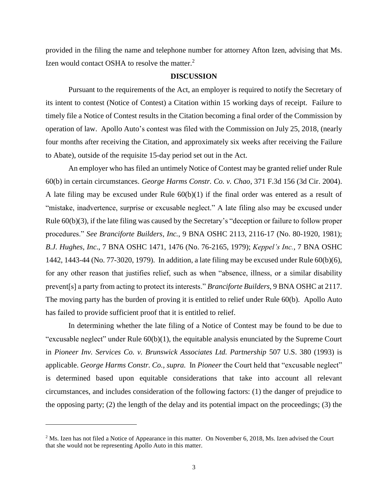provided in the filing the name and telephone number for attorney Afton Izen, advising that Ms. Izen would contact OSHA to resolve the matter.<sup>2</sup>

### **DISCUSSION**

Pursuant to the requirements of the Act, an employer is required to notify the Secretary of its intent to contest (Notice of Contest) a Citation within 15 working days of receipt. Failure to timely file a Notice of Contest results in the Citation becoming a final order of the Commission by operation of law. Apollo Auto's contest was filed with the Commission on July 25, 2018, (nearly four months after receiving the Citation, and approximately six weeks after receiving the Failure to Abate), outside of the requisite 15-day period set out in the Act.

An employer who has filed an untimely Notice of Contest may be granted relief under Rule 60(b) in certain circumstances. *George Harms Constr. Co. v. Chao*, 371 F.3d 156 (3d Cir. 2004). A late filing may be excused under Rule 60(b)(1) if the final order was entered as a result of "mistake, inadvertence, surprise or excusable neglect." A late filing also may be excused under Rule 60(b)(3), if the late filing was caused by the Secretary's "deception or failure to follow proper procedures." *See Branciforte Builders*, *Inc.*, 9 BNA OSHC 2113, 2116-17 (No. 80-1920, 1981); *B.J. Hughes*, *Inc*., 7 BNA OSHC 1471, 1476 (No. 76-2165, 1979); *Keppel's Inc.*, 7 BNA OSHC 1442, 1443-44 (No. 77-3020, 1979). In addition, a late filing may be excused under Rule 60(b)(6), for any other reason that justifies relief, such as when "absence, illness, or a similar disability prevent[s] a party from acting to protect its interests." *Branciforte Builders*, 9 BNA OSHC at 2117. The moving party has the burden of proving it is entitled to relief under Rule 60(b). Apollo Auto has failed to provide sufficient proof that it is entitled to relief.

In determining whether the late filing of a Notice of Contest may be found to be due to "excusable neglect" under Rule  $60(b)(1)$ , the equitable analysis enunciated by the Supreme Court in *Pioneer Inv. Services Co. v. Brunswick Associates Ltd. Partnership* 507 U.S. 380 (1993) is applicable. *[George Harms Constr. Co.,](http://www.westlaw.com/Find/Default.wl?rs=dfa1.0&vr=2.0&DB=506&FindType=Y&ReferencePositionType=S&SerialNum=2004560020&ReferencePosition=163) supra.* In *Pioneer* the Court held that "excusable neglect" is determined based upon equitable considerations that take into account all relevant circumstances, and includes consideration of the following factors: (1) the danger of prejudice to the opposing party; (2) the length of the delay and its potential impact on the proceedings; (3) the

 $\overline{a}$ 

<sup>&</sup>lt;sup>2</sup> Ms. Izen has not filed a Notice of Appearance in this matter. On November 6, 2018, Ms. Izen advised the Court that she would not be representing Apollo Auto in this matter.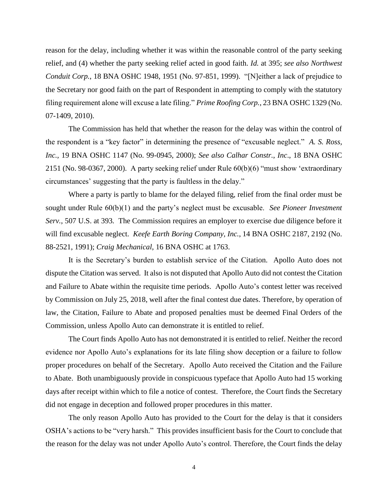reason for the delay, including whether it was within the reasonable control of the party seeking relief, and (4) whether the party seeking relief acted in good faith. *Id.* [at 395;](http://www.westlaw.com/Find/Default.wl?rs=dfa1.0&vr=2.0&DB=780&FindType=Y&ReferencePositionType=S&SerialNum=1993072396&ReferencePosition=395) *see also [Northwest](http://www.westlaw.com/Find/Default.wl?rs=dfa1.0&vr=2.0&DB=0003227&FindType=Y&SerialNum=1999284282)  [Conduit Corp.](http://www.westlaw.com/Find/Default.wl?rs=dfa1.0&vr=2.0&DB=0003227&FindType=Y&SerialNum=1999284282)*, [18 BNA OSHC 1948, 1951 \(No. 97-851, 1999\). "](http://www.westlaw.com/Find/Default.wl?rs=dfa1.0&vr=2.0&DB=0003227&FindType=Y&SerialNum=1999284282)[N]either a lack of prejudice to the Secretary nor good faith on the part of Respondent in attempting to comply with the statutory filing requirement alone will excuse a late filing." *[Prime Roofing Corp.](http://www.westlaw.com/Find/Default.wl?rs=dfa1.0&vr=2.0&DB=0003227&FindType=Y&SerialNum=2024060162)*[, 23 BNA OSHC 1329 \(No.](http://www.westlaw.com/Find/Default.wl?rs=dfa1.0&vr=2.0&DB=0003227&FindType=Y&SerialNum=2024060162)  [07-1409, 2010\).](http://www.westlaw.com/Find/Default.wl?rs=dfa1.0&vr=2.0&DB=0003227&FindType=Y&SerialNum=2024060162)

The Commission has held that whether the reason for the delay was within the control of the respondent is a "key factor" in determining the presence of "excusable neglect." *A. S. Ross, Inc.,* 19 BNA OSHC 1147 (No. 99-0945, 2000); *See also Calhar Constr.*, *Inc*., 18 BNA OSHC 2151 (No. 98-0367, 2000). A party seeking relief under Rule 60(b)(6) "must show 'extraordinary circumstances' suggesting that the party is faultless in the delay."

Where a party is partly to blame for the delayed filing, relief from the final order must be sought under Rule 60(b)(1) and the party's neglect must be excusable. *See Pioneer Investment Serv.*, 507 U.S. at 393*.* The Commission requires an employer to exercise due diligence before it will find excusable neglect. *Keefe Earth Boring Company, Inc.*, [14 BNA OSHC 2187, 2192 \(No.](http://www.westlaw.com/Find/Default.wl?rs=dfa1.0&vr=2.0&DB=0003227&FindType=Y&SerialNum=1991434415)  [88-2521, 1991\);](http://www.westlaw.com/Find/Default.wl?rs=dfa1.0&vr=2.0&DB=0003227&FindType=Y&SerialNum=1991434415) *Craig Mechanical*, 16 BNA OSHC at 1763.

It is the Secretary's burden to establish service of the Citation. Apollo Auto does not dispute the Citation was served. It also is not disputed that Apollo Auto did not contest the Citation and Failure to Abate within the requisite time periods. Apollo Auto's contest letter was received by Commission on July 25, 2018, well after the final contest due dates. Therefore, by operation of law, the Citation, Failure to Abate and proposed penalties must be deemed Final Orders of the Commission, unless Apollo Auto can demonstrate it is entitled to relief.

The Court finds Apollo Auto has not demonstrated it is entitled to relief. Neither the record evidence nor Apollo Auto's explanations for its late filing show deception or a failure to follow proper procedures on behalf of the Secretary. Apollo Auto received the Citation and the Failure to Abate. Both unambiguously provide in conspicuous typeface that Apollo Auto had 15 working days after receipt within which to file a notice of contest. Therefore, the Court finds the Secretary did not engage in deception and followed proper procedures in this matter.

The only reason Apollo Auto has provided to the Court for the delay is that it considers OSHA's actions to be "very harsh." This provides insufficient basis for the Court to conclude that the reason for the delay was not under Apollo Auto's control. Therefore, the Court finds the delay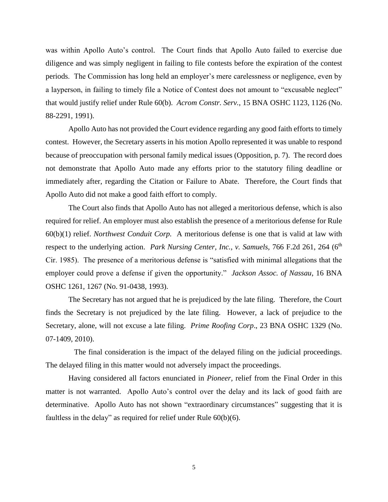was within Apollo Auto's control. The Court finds that Apollo Auto failed to exercise due diligence and was simply negligent in failing to file contests before the expiration of the contest periods. The Commission has long held an employer's mere carelessness or negligence, even by a layperson, in failing to timely file a Notice of Contest does not amount to "excusable neglect" that would justify relief under [Rule 60\(b\).](http://www.westlaw.com/Find/Default.wl?rs=dfa1.0&vr=2.0&DB=1004365&DocName=USFRCPR60&FindType=L) *Acrom Constr. Serv.*, 15 BNA OSHC 1123, 1126 (No. 88-2291, 1991).

Apollo Auto has not provided the Court evidence regarding any good faith efforts to timely contest. However, the Secretary asserts in his motion Apollo represented it was unable to respond because of preoccupation with personal family medical issues (Opposition, p. 7). The record does not demonstrate that Apollo Auto made any efforts prior to the statutory filing deadline or immediately after, regarding the Citation or Failure to Abate. Therefore, the Court finds that Apollo Auto did not make a good faith effort to comply.

The Court also finds that Apollo Auto has not alleged a meritorious defense, which is also required for relief. An employer must also establish the presence of a meritorious defense for Rule 60(b)(1) relief. *Northwest Conduit Corp.* A meritorious defense is one that is valid at law with respect to the underlying action. *Park Nursing Center, Inc., v. Samuels,* 766 F.2d 261, 264 (6<sup>th</sup>) Cir. 1985). The presence of a meritorious defense is "satisfied with minimal allegations that the employer could prove a defense if given the opportunity." *Jackson Assoc. of Nassau*, 16 BNA OSHC 1261, 1267 (No. 91-0438, 1993).

The Secretary has not argued that he is prejudiced by the late filing. Therefore, the Court finds the Secretary is not prejudiced by the late filing. However, a lack of prejudice to the Secretary, alone, will not excuse a late filing. *Prime Roofing Corp*., 23 BNA OSHC 1329 (No. 07-1409, 2010).

 The final consideration is the impact of the delayed filing on the judicial proceedings. The delayed filing in this matter would not adversely impact the proceedings.

Having considered all factors enunciated in *Pioneer,* relief from the Final Order in this matter is not warranted. Apollo Auto's control over the delay and its lack of good faith are determinative. Apollo Auto has not shown "extraordinary circumstances" suggesting that it is faultless in the delay" as required for relief under Rule 60(b)(6).